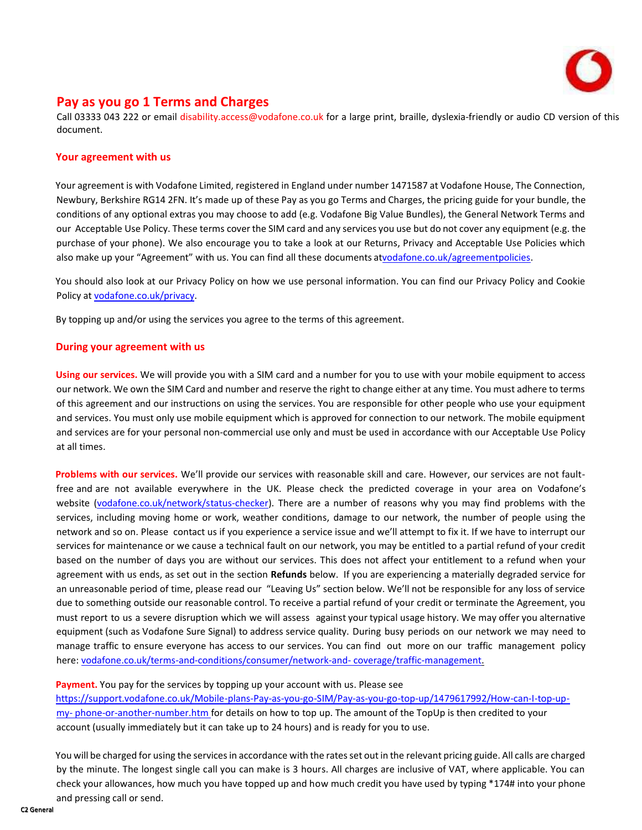

# **Pay as you go 1 Terms and Charges**

Call 03333 043 222 or email [disability.access@vodafone.co.uk](mailto:disability.access@vodafone.co.uk) for a large print, braille, dyslexia-friendly or audio CD version of this document.

## **Your agreement with us**

Your agreement is with Vodafone Limited, registered in England under number 1471587 at Vodafone House, The Connection, Newbury, Berkshire RG14 2FN. It's made up of these Pay as you go Terms and Charges, the pricing guide for your bundle, the conditions of any optional extras you may choose to add (e.g. Vodafone Big Value Bundles), the General Network Terms and our Acceptable Use Policy. These terms cover the SIM card and any services you use but do not cover any equipment (e.g. the purchase of your phone). We also encourage you to take a look at our Returns, Privacy and Acceptable Use Policies which also make up your "Agreement" with us. You can find all these documents a[tvodafone.co.uk/agreementpolicies.](https://www.vodafone.co.uk/terms-and-conditions/)

You should also look at our Privacy Policy on how we use personal information. You can find our Privacy Policy and Cookie Policy at [vodafone.co.uk/privacy.](http://www.vodafone.co.uk/privacy)

By topping up and/or using the services you agree to the terms of this agreement.

## **During your agreement with us**

**Using our services.** We will provide you with a SIM card and a number for you to use with your mobile equipment to access our network. We own the SIM Card and number and reserve the right to change either at any time. You must adhere to terms of this agreement and our instructions on using the services. You are responsible for other people who use your equipment and services. You must only use mobile equipment which is approved for connection to our network. The mobile equipment and services are for your personal non-commercial use only and must be used in accordance with our Acceptable Use Policy at all times.

**Problems with our services.** We'll provide our services with reasonable skill and care. However, our services are not faultfree and are not available everywhere in the UK. Please check the predicted coverage in your area on Vodafone's website [\(vodafone.co.uk/network/status-checker\).](https://www.vodafone.co.uk/network/status-checker) There are a number of reasons why you may find problems with the services, including moving home or work, weather conditions, damage to our network, the number of people using the network and so on. Please contact us if you experience a service issue and we'll attempt to fix it. If we have to interrupt our services for maintenance or we cause a technical fault on our network, you may be entitled to a partial refund of your credit based on the number of days you are without our services. This does not affect your entitlement to a refund when your agreement with us ends, as set out in the section **Refunds** below. If you are experiencing a materially degraded service for an unreasonable period of time, please read our "Leaving Us" section below. We'll not be responsible for any loss of service due to something outside our reasonable control. To receive a partial refund of your credit or terminate the Agreement, you must report to us a severe disruption which we will assess against your typical usage history. We may offer you alternative equipment (such as Vodafone Sure Signal) to address service quality. During busy periods on our network we may need to manage traffic to ensure everyone has access to our services. You can find out more on our traffic management policy here[: vodafone.co.uk/terms-and-conditions/consumer/network-and-](https://www.vodafone.co.uk/terms-and-conditions/consumer/network-and-coverage/traffic-management/) [coverage/traffic-management.](https://www.vodafone.co.uk/terms-and-conditions/consumer/network-and-coverage/traffic-management/)

#### Payment. You pay for the services by topping up your account with us. Please see

[https://support.vodafone.co.uk/Mobile-plans-Pay-as-you-go-SIM/Pay-as-you-go-top-up/1479617992/How-can-I-top-up](https://support.vodafone.co.uk/Mobile-plans-Pay-as-you-go-SIM/Pay-as-you-go-top-up/1479617992/How-can-I-top-up-my-phone-or-another-number.htm)[my-](https://support.vodafone.co.uk/Mobile-plans-Pay-as-you-go-SIM/Pay-as-you-go-top-up/1479617992/How-can-I-top-up-my-phone-or-another-number.htm) [phone-or-another-number.htm f](https://support.vodafone.co.uk/Mobile-plans-Pay-as-you-go-SIM/Pay-as-you-go-top-up/1479617992/How-can-I-top-up-my-phone-or-another-number.htm)or details on how to top up. The amount of the TopUp is then credited to your account (usually immediately but it can take up to 24 hours) and is ready for you to use.

You will be charged for using the services in accordance with the rates set out in the relevant pricing guide. All calls are charged by the minute. The longest single call you can make is 3 hours. All charges are inclusive of VAT, where applicable. You can check your allowances, how much you have topped up and how much credit you have used by typing \*174# into your phone and pressing call or send.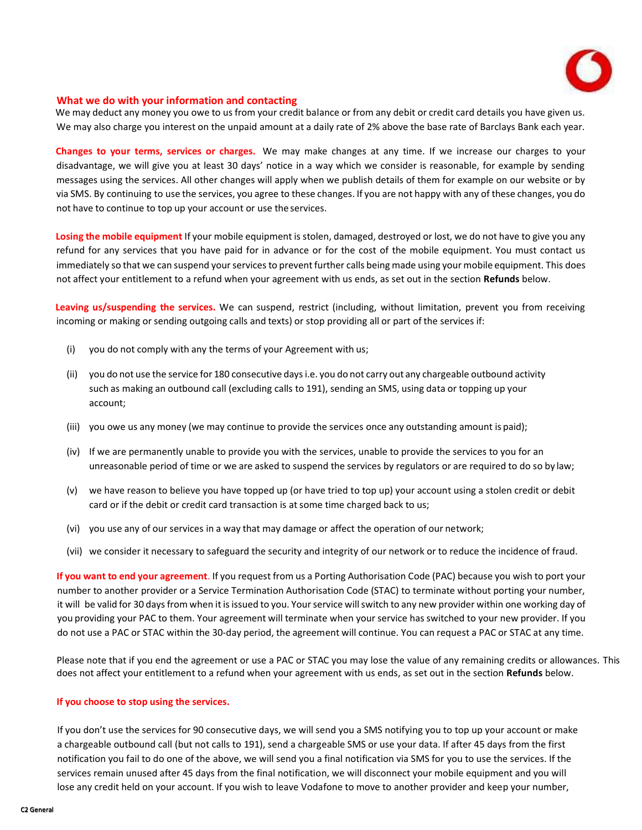

#### **What we do with your information and contacting**

**us** We may deduct any money you owe to us from your credit balance or from any debit or credit card details you have given us. We may also charge you interest on the unpaid amount at a daily rate of 2% above the base rate of Barclays Bank each year.

**Changes to your terms, services or charges.** We may make changes at any time. If we increase our charges to your disadvantage, we will give you at least 30 days' notice in a way which we consider is reasonable, for example by sending messages using the services. All other changes will apply when we publish details of them for example on our website or by via SMS. By continuing to use the services, you agree to these changes. If you are not happy with any of these changes, you do not have to continue to top up your account or use the services.

**Losing the mobile equipment** If your mobile equipment is stolen, damaged, destroyed or lost, we do not have to give you any refund for any services that you have paid for in advance or for the cost of the mobile equipment. You must contact us immediately so that we can suspend your services to prevent further calls being made using your mobile equipment. This does not affect your entitlement to a refund when your agreement with us ends, as set out in the section **Refunds** below.

**Leaving us/suspending the services.** We can suspend, restrict (including, without limitation, prevent you from receiving incoming or making or sending outgoing calls and texts) or stop providing all or part of the services if:

- (i) you do not comply with any the terms of your Agreement with us;
- (ii) you do not use the service for 180 consecutive daysi.e. you do not carry out any chargeable outbound activity such as making an outbound call (excluding calls to 191), sending an SMS, using data or topping up your account;
- (iii) you owe us any money (we may continue to provide the services once any outstanding amount is paid);
- (iv) If we are permanently unable to provide you with the services, unable to provide the services to you for an unreasonable period of time or we are asked to suspend the services by regulators or are required to do so by law;
- (v) we have reason to believe you have topped up (or have tried to top up) your account using a stolen credit or debit card or if the debit or credit card transaction is at some time charged back to us;
- (vi) you use any of our services in a way that may damage or affect the operation of our network;
- (vii) we consider it necessary to safeguard the security and integrity of our network or to reduce the incidence of fraud.

**If you want to end your agreement**. If you request from us a Porting Authorisation Code (PAC) because you wish to port your number to another provider or a Service Termination Authorisation Code (STAC) to terminate without porting your number, it will be valid for 30 days from when it is issued to you. Your service will switch to any new provider within one working day of you providing your PAC to them. Your agreement will terminate when your service has switched to your new provider. If you do not use a PAC or STAC within the 30-day period, the agreement will continue. You can request a PAC or STAC at any time.

Please note that if you end the agreement or use a PAC or STAC you may lose the value of any remaining credits or allowances. This does not affect your entitlement to a refund when your agreement with us ends, as set out in the section **Refunds** below.

#### **If you choose to stop using the services.**

If you don't use the services for 90 consecutive days, we will send you a SMS notifying you to top up your account or make a chargeable outbound call (but not calls to 191), send a chargeable SMS or use your data. If after 45 days from the first notification you fail to do one of the above, we will send you a final notification via SMS for you to use the services. If the services remain unused after 45 days from the final notification, we will disconnect your mobile equipment and you will lose any credit held on your account. If you wish to leave Vodafone to move to another provider and keep your number,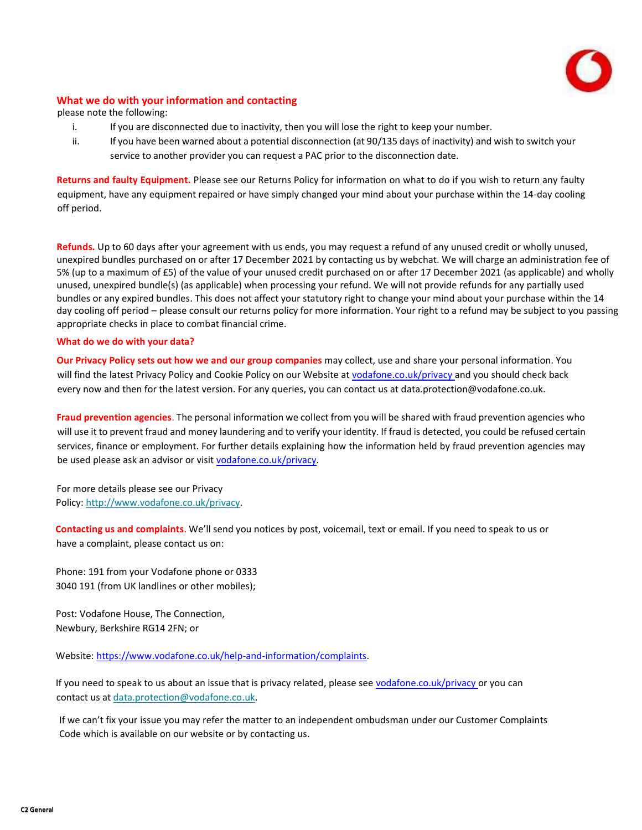

## **What we do with your information and contacting**

**us** please note the following:

- i. If you are disconnected due to inactivity, then you will lose the right to keep your number.
- ii. If you have been warned about a potential disconnection (at 90/135 days of inactivity) and wish to switch your service to another provider you can request a PAC prior to the disconnection date.

**Returns and faulty Equipment.** Please see our Returns Policy for information on what to do if you wish to return any faulty equipment, have any equipment repaired or have simply changed your mind about your purchase within the 14-day cooling off period.

**Refunds.** Up to 60 days after your agreement with us ends, you may request a refund of any unused credit or wholly unused, unexpired bundles purchased on or after 17 December 2021 by contacting us by webchat. We will charge an administration fee of 5% (up to a maximum of £5) of the value of your unused credit purchased on or after 17 December 2021 (as applicable) and wholly unused, unexpired bundle(s) (as applicable) when processing your refund. We will not provide refunds for any partially used bundles or any expired bundles. This does not affect your statutory right to change your mind about your purchase within the 14 day cooling off period – please consult our returns policy for more information. Your right to a refund may be subject to you passing appropriate checks in place to combat financial crime.

#### **What do we do with your data?**

**Our Privacy Policy sets out how we and our group companies** may collect, use and share your personal information. You will find the latest Privacy Policy and Cookie Policy on our Website at [vodafone.co.uk/privacy a](https://www.vodafone.co.uk/privacy)nd you should check back every now and then for the latest version. For any queries, you can contact us at [data.protection@vodafone.co.uk.](mailto:data.protection@vodafone.co.uk)

**Fraud prevention agencies**. The personal information we collect from you will be shared with fraud prevention agencies who will use it to prevent fraud and money laundering and to verify your identity. If fraud is detected, you could be refused certain services, finance or employment. For further details explaining how the information held by fraud prevention agencies may be used please ask an advisor or visi[t vodafone.co.uk/privacy.](https://www.vodafone.co.uk/privacy)

For more details please see our Privacy Policy: [http://www.vodafone.co.uk/privacy.](http://www.vodafone.co.uk/privacy)

**Contacting us and complaints**. We'll send you notices by post, voicemail, text or email. If you need to speak to us or have a complaint, please contact us on:

Phone: 191 from your Vodafone phone or 0333 3040 191 (from UK landlines or other mobiles);

Post: Vodafone House, The Connection, Newbury, Berkshire RG14 2FN; or

Website[: https://www.vodafone.co.uk/help-and-information/complaints.](https://www.vodafone.co.uk/help-and-information/complaints)

If you need to speak to us about an issue that is privacy related, please se[e vodafone.co.uk/privacy o](http://www.vodafone.co.uk/privacy)r you can contact us at [data.protection@vodafone.co.uk.](mailto:data.protection@vodafone.co.uk)

If we can't fix your issue you may refer the matter to an independent ombudsman under our Customer Complaints Code which is available on our website or by contacting us.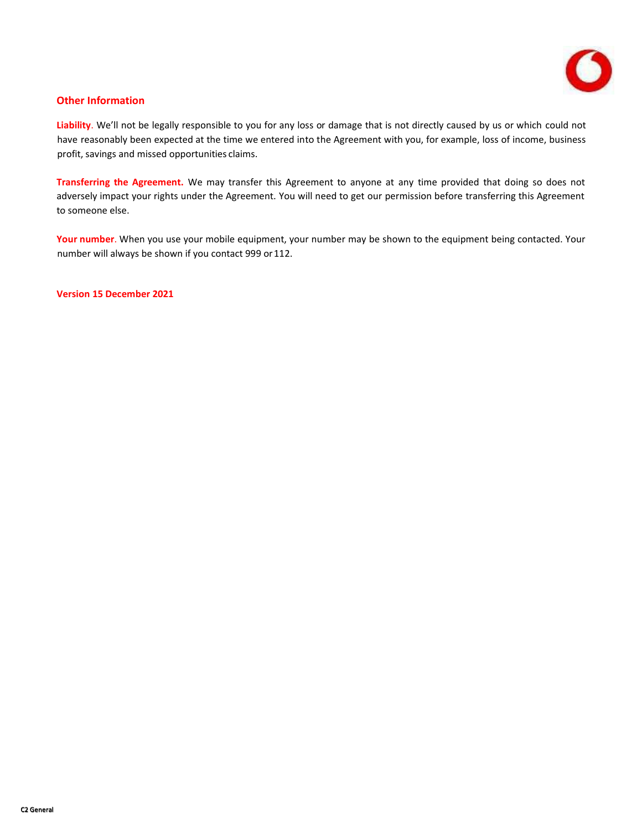

## **Other Information**

**Liability**. We'll not be legally responsible to you for any loss or damage that is not directly caused by us or which could not have reasonably been expected at the time we entered into the Agreement with you, for example, loss of income, business profit, savings and missed opportunities claims.

**Transferring the Agreement.** We may transfer this Agreement to anyone at any time provided that doing so does not adversely impact your rights under the Agreement. You will need to get our permission before transferring this Agreement to someone else.

**Your number**. When you use your mobile equipment, your number may be shown to the equipment being contacted. Your number will always be shown if you contact 999 or 112.

**Version 15 December 2021**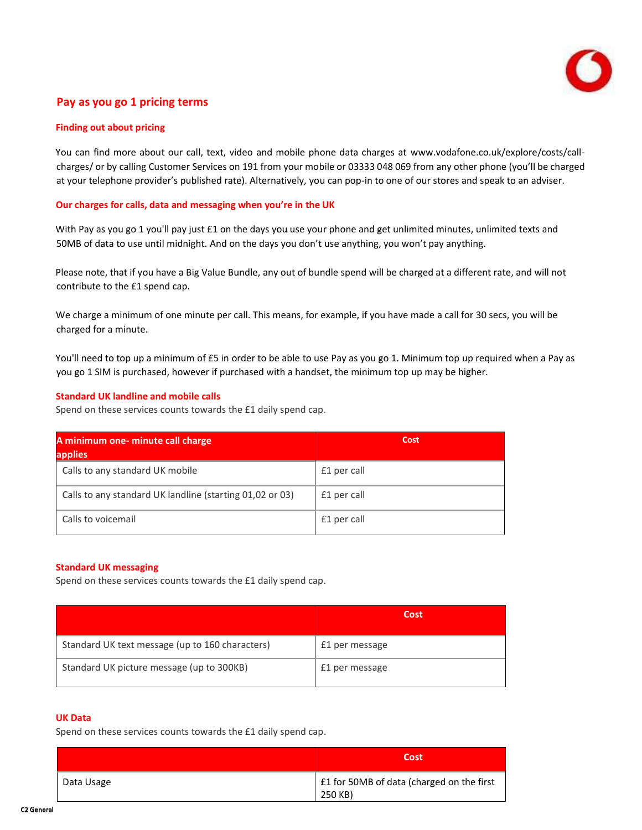

# **Pay as you go 1 pricing terms**

#### **Finding out about pricing**

You can find more about our call, text, video and mobile phone data charges at [www.vodafone.co.uk/explore/costs/call](http://www.vodafone.co.uk/explore/costs/call-charges/)[charges/](http://www.vodafone.co.uk/explore/costs/call-charges/) or by calling Customer Services on 191 from your mobile or 03333 048 069 from any other phone (you'll be charged at your telephone provider's published rate). Alternatively, you can pop-in to one of our stores and speak to an adviser.

#### **Our charges for calls, data and messaging when you're in the UK**

With Pay as you go 1 you'll pay just £1 on the days you use your phone and get unlimited minutes, unlimited texts and 50MB of data to use until midnight. And on the days you don't use anything, you won't pay anything.

Please note, that if you have a Big Value Bundle, any out of bundle spend will be charged at a different rate, and will not contribute to the £1 spend cap.

We charge a minimum of one minute per call. This means, for example, if you have made a call for 30 secs, you will be charged for a minute.

You'll need to top up a minimum of £5 in order to be able to use Pay as you go 1. Minimum top up required when a Pay as you go 1 SIM is purchased, however if purchased with a handset, the minimum top up may be higher.

#### **Standard UK landline and mobile calls**

Spend on these services counts towards the £1 daily spend cap.

| A minimum one- minute call charge<br><b>applies</b>      | Cost        |  |  |
|----------------------------------------------------------|-------------|--|--|
| Calls to any standard UK mobile                          | £1 per call |  |  |
| Calls to any standard UK landline (starting 01,02 or 03) | £1 per call |  |  |
| Calls to voicemail                                       | £1 per call |  |  |

#### **Standard UK messaging**

Spend on these services counts towards the £1 daily spend cap.

|                                                 | Cost           |
|-------------------------------------------------|----------------|
| Standard UK text message (up to 160 characters) | £1 per message |
| Standard UK picture message (up to 300KB)       | £1 per message |

## **UK Data**

Spend on these services counts towards the £1 daily spend cap.

|            | Cost                                                 |
|------------|------------------------------------------------------|
| Data Usage | £1 for 50MB of data (charged on the first<br>250 KB) |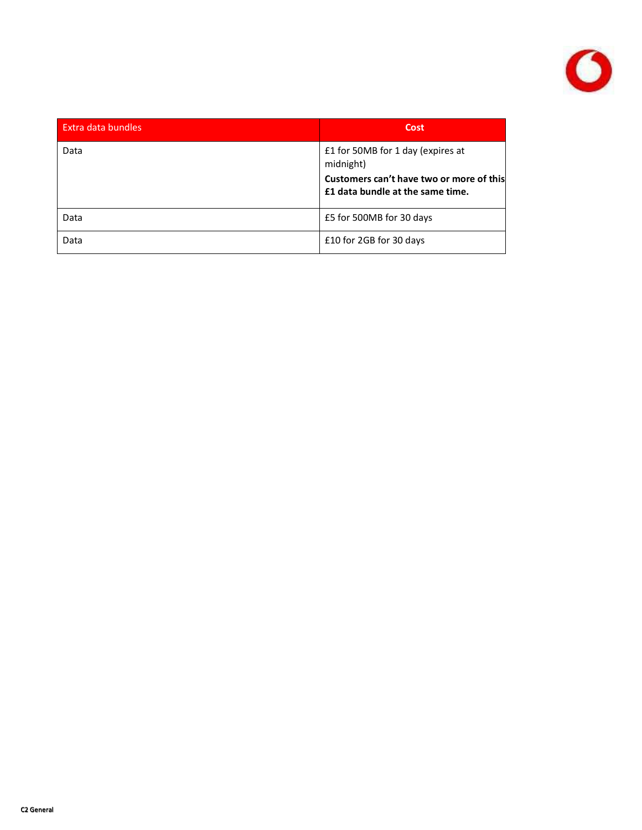

| Extra data bundles | Cost                                                                                                                           |  |  |
|--------------------|--------------------------------------------------------------------------------------------------------------------------------|--|--|
| Data               | £1 for 50MB for 1 day (expires at<br>midnight)<br>Customers can't have two or more of this<br>£1 data bundle at the same time. |  |  |
| Data               | £5 for 500MB for 30 days                                                                                                       |  |  |
| Data               | £10 for 2GB for 30 days                                                                                                        |  |  |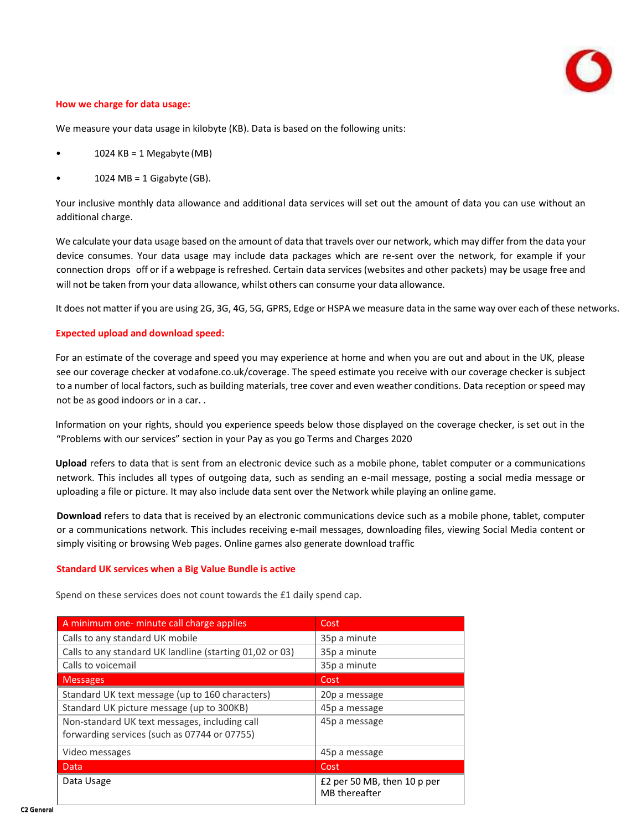

#### **How we charge for data usage:**

We measure your data usage in kilobyte (KB). Data is based on the following units:

- 1024  $KB = 1$  Megabyte (MB)
- $1024 \text{ MB} = 1 \text{ Gigabyte (GB)}$ .

Your inclusive monthly data allowance and additional data services will set out the amount of data you can use without an additional charge.

We calculate your data usage based on the amount of data that travels over our network, which may differ from the data your device consumes. Your data usage may include data packages which are re-sent over the network, for example if your connection drops off or if a webpage is refreshed. Certain data services (websites and other packets) may be usage free and will not be taken from your data allowance, whilst others can consume your data allowance.

It does not matter if you are using 2G, 3G, 4G, 5G, GPRS, Edge or HSPA we measure data in the same way over each of these networks.

#### **Expected upload and download speed:**

For an estimate of the coverage and speed you may experience at home and when you are out and about in the UK, please see our coverage checker at vodafone.co.uk/coverage. The speed estimate you receive with our coverage checker is subject to a number of local factors, such as building materials, tree cover and even weather conditions. Data reception or speed may not be as good indoors or in a car. .

Information on your rights, should you experience speeds below those displayed on the coverage checker, is set out in the "Problems with our services" section in your Pay as you go Terms and Charges 2020

**Upload** refers to data that is sent from an electronic device such as a mobile phone, tablet computer or a communications network. This includes all types of outgoing data, such as sending an e-mail message, posting a social media message or uploading a file or picture. It may also include data sent over the Network while playing an online game.

**Download** refers to data that is received by an electronic communications device such as a mobile phone, tablet, computer or a communications network. This includes receiving e-mail messages, downloading files, viewing Social Media content or simply visiting or browsing Web pages. Online games also generate download traffic

#### **Standard UK services when a Big Value Bundle is active**

Spend on these services does not count towards the £1 daily spend cap.

| A minimum one- minute call charge applies                | Cost                                         |  |  |
|----------------------------------------------------------|----------------------------------------------|--|--|
| Calls to any standard UK mobile                          | 35p a minute                                 |  |  |
| Calls to any standard UK landline (starting 01,02 or 03) | 35p a minute                                 |  |  |
| Calls to voicemail                                       | 35p a minute                                 |  |  |
| <b>Messages</b>                                          | Cost                                         |  |  |
| Standard UK text message (up to 160 characters)          | 20p a message                                |  |  |
| Standard UK picture message (up to 300KB)                | 45p a message                                |  |  |
| Non-standard UK text messages, including call            | 45p a message                                |  |  |
| forwarding services (such as 07744 or 07755)             |                                              |  |  |
| Video messages                                           | 45p a message                                |  |  |
| Data                                                     | Cost                                         |  |  |
| Data Usage                                               | £2 per 50 MB, then 10 p per<br>MB thereafter |  |  |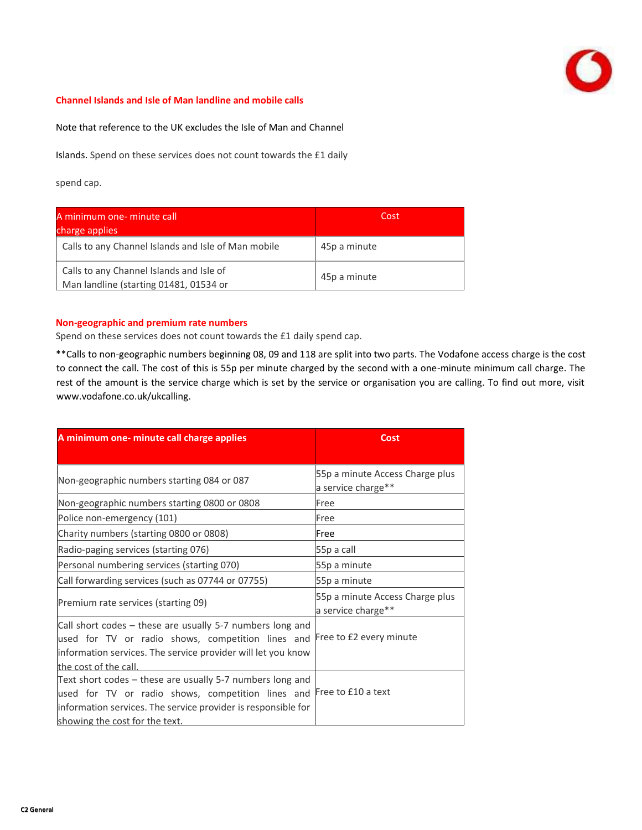

#### **Channel Islands and Isle of Man landline and mobile calls**

Note that reference to the UK excludes the Isle of Man and Channel

Islands. Spend on these services does not count towards the £1 daily

spend cap.

| A minimum one- minute call<br>charge applies                                       | Cost         |  |
|------------------------------------------------------------------------------------|--------------|--|
| Calls to any Channel Islands and Isle of Man mobile                                | 45p a minute |  |
| Calls to any Channel Islands and Isle of<br>Man landline (starting 01481, 01534 or | 45p a minute |  |

#### **Non-geographic and premium rate numbers**

Spend on these services does not count towards the £1 daily spend cap.

\*\*Calls to non-geographic numbers beginning 08, 09 and 118 are split into two parts. The Vodafone access charge is the cost to connect the call. The cost of this is 55p per minute charged by the second with a one-minute minimum call charge. The rest of the amount is the service charge which is set by the service or organisation you are calling. To find out more, visit [www.vodafone.co.uk/ukcalling.](http://www.vodafone.co.uk/ukcalling)

| A minimum one- minute call charge applies                                                                                                                                                                                            | Cost                                                  |  |
|--------------------------------------------------------------------------------------------------------------------------------------------------------------------------------------------------------------------------------------|-------------------------------------------------------|--|
|                                                                                                                                                                                                                                      |                                                       |  |
| Non-geographic numbers starting 084 or 087                                                                                                                                                                                           | 55p a minute Access Charge plus<br>a service charge** |  |
| Non-geographic numbers starting 0800 or 0808                                                                                                                                                                                         | Free                                                  |  |
| Police non-emergency (101)                                                                                                                                                                                                           | Free                                                  |  |
| Charity numbers (starting 0800 or 0808)                                                                                                                                                                                              | Free                                                  |  |
| Radio-paging services (starting 076)                                                                                                                                                                                                 | 55p a call                                            |  |
| Personal numbering services (starting 070)                                                                                                                                                                                           | 55p a minute                                          |  |
| Call forwarding services (such as 07744 or 07755)                                                                                                                                                                                    | 55p a minute                                          |  |
| Premium rate services (starting 09)                                                                                                                                                                                                  | 55p a minute Access Charge plus<br>a service charge** |  |
| Call short codes – these are usually 5-7 numbers long and<br>used for TV or radio shows, competition lines and<br>information services. The service provider will let you know<br>the cost of the call.                              | Free to £2 every minute                               |  |
| Text short codes – these are usually 5-7 numbers long and<br>used for TV or radio shows, competition lines and Free to £10 a text<br>information services. The service provider is responsible for<br>showing the cost for the text. |                                                       |  |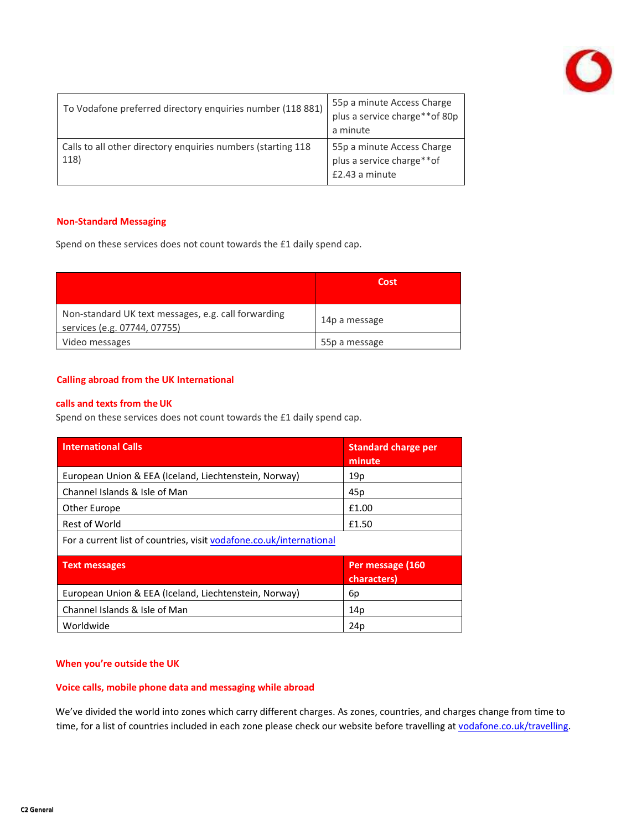

| To Vodafone preferred directory enquiries number (118 881)           | 55p a minute Access Charge<br>plus a service charge**of 80p<br>a minute   |
|----------------------------------------------------------------------|---------------------------------------------------------------------------|
| Calls to all other directory enquiries numbers (starting 118<br>118) | 55p a minute Access Charge<br>plus a service charge**of<br>£2.43 a minute |

#### **Non-Standard Messaging**

Spend on these services does not count towards the £1 daily spend cap.

|                                                                                     | Cost          |
|-------------------------------------------------------------------------------------|---------------|
| Non-standard UK text messages, e.g. call forwarding<br>services (e.g. 07744, 07755) | 14p a message |
| Video messages                                                                      | 55p a message |

## **Calling abroad from the UK International**

#### **calls and texts from theUK**

Spend on these services does not count towards the £1 daily spend cap.

| <b>International Calls</b>                                          | <b>Standard charge per</b><br>minute |  |  |
|---------------------------------------------------------------------|--------------------------------------|--|--|
| European Union & EEA (Iceland, Liechtenstein, Norway)               | 19 <sub>p</sub>                      |  |  |
| Channel Islands & Isle of Man                                       | 45p                                  |  |  |
| Other Europe                                                        | £1.00                                |  |  |
| Rest of World                                                       | £1.50                                |  |  |
| For a current list of countries, visit vodafone.co.uk/international |                                      |  |  |
| <b>Text messages</b>                                                | Per message (160<br>characters)      |  |  |
| European Union & EEA (Iceland, Liechtenstein, Norway)               | 6p                                   |  |  |
| Channel Islands & Isle of Man                                       | 14p                                  |  |  |
| Worldwide                                                           | 24p                                  |  |  |

## **When you're outside the UK**

#### **Voice calls, mobile phone data and messaging while abroad**

We've divided the world into zones which carry different charges. As zones, countries, and charges change from time to time, for a list of countries included in each zone please check our website before travelling a[t vodafone.co.uk/travelling.](https://www.vodafone.co.uk/help-and-information/costs-and-charges/travelling-abroad)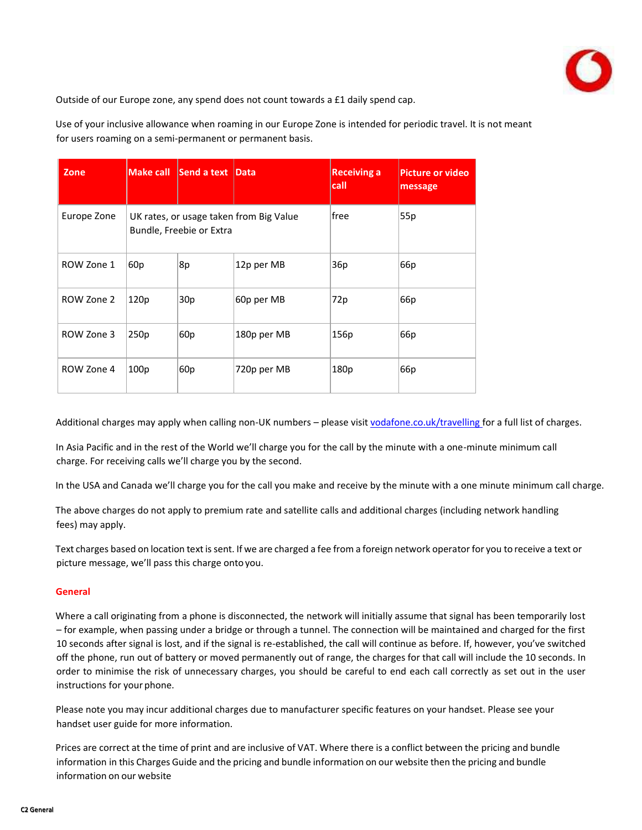

Outside of our Europe zone, any spend does not count towards a £1 daily spend cap.

Use of your inclusive allowance when roaming in our Europe Zone is intended for periodic travel. It is not meant for users roaming on a semi-permanent or permanent basis.

| Zone        | <b>Make call</b> | Send a text              | Data                                    | <b>Receiving a</b><br>call | <b>Picture or video</b><br>message |
|-------------|------------------|--------------------------|-----------------------------------------|----------------------------|------------------------------------|
| Europe Zone |                  | Bundle, Freebie or Extra | UK rates, or usage taken from Big Value | lfree                      | 55p                                |
| ROW Zone 1  | 60 <sub>p</sub>  | 8p                       | 12p per MB                              | 36p                        | 66p                                |
| ROW Zone 2  | 120 <sub>p</sub> | 30 <sub>p</sub>          | 60p per MB                              | 72p                        | 66 <sub>p</sub>                    |
| ROW Zone 3  | 250p             | 60 <sub>p</sub>          | 180p per MB                             | 156p                       | 66 <sub>p</sub>                    |
| ROW Zone 4  | 100 <sub>p</sub> | 60 <sub>p</sub>          | 720p per MB                             | 180p                       | 66 <sub>p</sub>                    |

Additional charges may apply when calling non-UK numbers – please visi[t vodafone.co.uk/travelling f](https://www.vodafone.co.uk/help-and-information/costs-and-charges/travelling-abroad)or a full list of charges.

In Asia Pacific and in the rest of the World we'll charge you for the call by the minute with a one-minute minimum call charge. For receiving calls we'll charge you by the second.

In the USA and Canada we'll charge you for the call you make and receive by the minute with a one minute minimum call charge.

The above charges do not apply to premium rate and satellite calls and additional charges (including network handling fees) may apply.

Text charges based on location textissent. If we are charged a fee from a foreign network operator for you to receive a text or picture message, we'll pass this charge onto you.

## **General**

Where a call originating from a phone is disconnected, the network will initially assume that signal has been temporarily lost – for example, when passing under a bridge or through a tunnel. The connection will be maintained and charged for the first 10 seconds after signal is lost, and if the signal is re-established, the call will continue as before. If, however, you've switched off the phone, run out of battery or moved permanently out of range, the charges for that call will include the 10 seconds. In order to minimise the risk of unnecessary charges, you should be careful to end each call correctly as set out in the user instructions for your phone.

Please note you may incur additional charges due to manufacturer specific features on your handset. Please see your handset user guide for more information.

Prices are correct at the time of print and are inclusive of VAT. Where there is a conflict between the pricing and bundle information in this Charges Guide and the pricing and bundle information on our website then the pricing and bundle information on our website